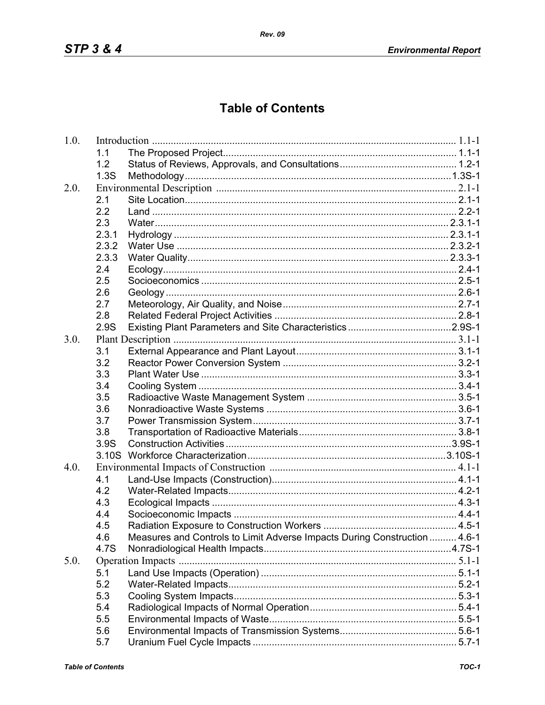## **Table of Contents**

| 1.0. |                   |                                                                           |  |
|------|-------------------|---------------------------------------------------------------------------|--|
|      | 1.1               |                                                                           |  |
|      | 1.2               |                                                                           |  |
|      | 1.3S              |                                                                           |  |
| 2.0. |                   |                                                                           |  |
|      | 2.1               |                                                                           |  |
|      | 2.2               |                                                                           |  |
|      | 2.3               |                                                                           |  |
|      | 2.3.1             |                                                                           |  |
|      | 2.3.2             |                                                                           |  |
|      | 2.3.3             |                                                                           |  |
|      | 2.4               |                                                                           |  |
|      | 2.5               |                                                                           |  |
|      | 2.6               |                                                                           |  |
|      | 2.7               |                                                                           |  |
|      | 2.8               |                                                                           |  |
|      | 2.9S              |                                                                           |  |
| 3.0. |                   |                                                                           |  |
|      | 3.1               |                                                                           |  |
|      | 3.2               |                                                                           |  |
|      | 3.3               |                                                                           |  |
|      | 3.4               |                                                                           |  |
|      | 3.5               |                                                                           |  |
|      | 3.6               |                                                                           |  |
|      | 3.7               |                                                                           |  |
|      | 3.8               |                                                                           |  |
|      | 3.9S              |                                                                           |  |
|      | 3.10 <sub>S</sub> |                                                                           |  |
| 4.0. |                   |                                                                           |  |
|      | 4.1               |                                                                           |  |
|      | 4.2               |                                                                           |  |
|      | 4.3               |                                                                           |  |
|      | 4.4               |                                                                           |  |
|      | 4.5               |                                                                           |  |
|      | 4.6               | Measures and Controls to Limit Adverse Impacts During Construction  4.6-1 |  |
|      | 4.7S              |                                                                           |  |
| 5.0. |                   |                                                                           |  |
|      | 5.1               |                                                                           |  |
|      | 5.2               |                                                                           |  |
|      | 5.3               |                                                                           |  |
|      | 5.4               |                                                                           |  |
|      | 5.5               |                                                                           |  |
|      | 5.6               |                                                                           |  |
|      | 5.7               |                                                                           |  |
|      |                   |                                                                           |  |